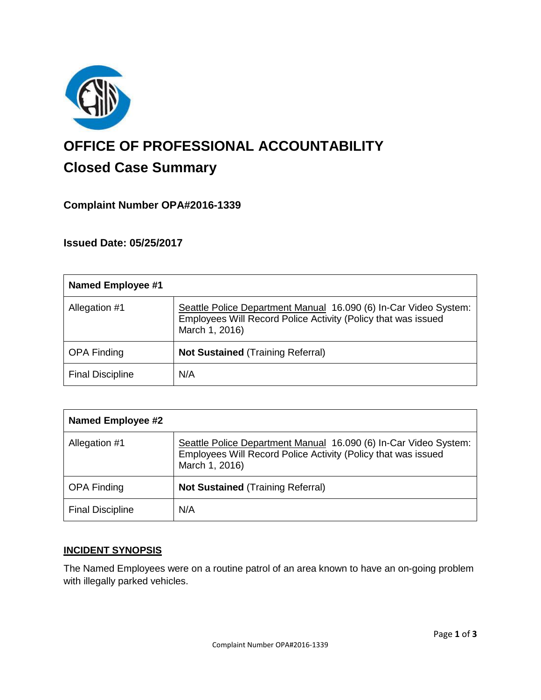

# **OFFICE OF PROFESSIONAL ACCOUNTABILITY Closed Case Summary**

## **Complaint Number OPA#2016-1339**

**Issued Date: 05/25/2017**

| <b>Named Employee #1</b> |                                                                                                                                                     |
|--------------------------|-----------------------------------------------------------------------------------------------------------------------------------------------------|
| Allegation #1            | Seattle Police Department Manual 16.090 (6) In-Car Video System:<br>Employees Will Record Police Activity (Policy that was issued<br>March 1, 2016) |
| <b>OPA Finding</b>       | <b>Not Sustained (Training Referral)</b>                                                                                                            |
| <b>Final Discipline</b>  | N/A                                                                                                                                                 |

| <b>Named Employee #2</b> |                                                                                                                                                     |
|--------------------------|-----------------------------------------------------------------------------------------------------------------------------------------------------|
| Allegation #1            | Seattle Police Department Manual 16.090 (6) In-Car Video System:<br>Employees Will Record Police Activity (Policy that was issued<br>March 1, 2016) |
| <b>OPA Finding</b>       | <b>Not Sustained (Training Referral)</b>                                                                                                            |
| <b>Final Discipline</b>  | N/A                                                                                                                                                 |

#### **INCIDENT SYNOPSIS**

The Named Employees were on a routine patrol of an area known to have an on-going problem with illegally parked vehicles.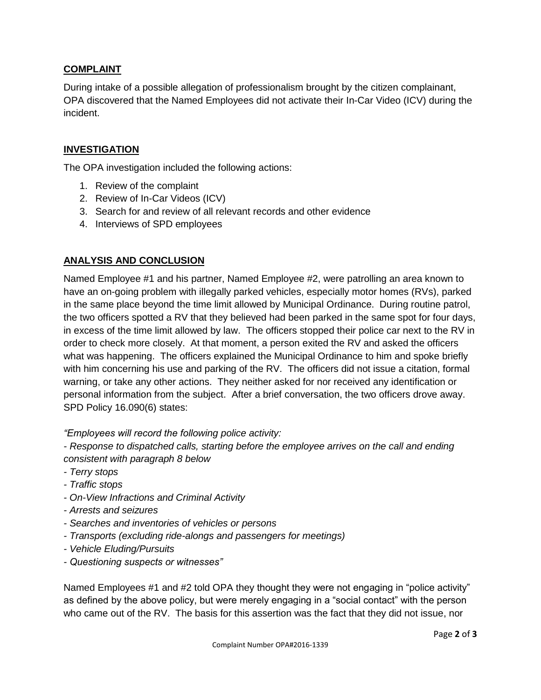### **COMPLAINT**

During intake of a possible allegation of professionalism brought by the citizen complainant, OPA discovered that the Named Employees did not activate their In-Car Video (ICV) during the incident.

#### **INVESTIGATION**

The OPA investigation included the following actions:

- 1. Review of the complaint
- 2. Review of In-Car Videos (ICV)
- 3. Search for and review of all relevant records and other evidence
- 4. Interviews of SPD employees

#### **ANALYSIS AND CONCLUSION**

Named Employee #1 and his partner, Named Employee #2, were patrolling an area known to have an on-going problem with illegally parked vehicles, especially motor homes (RVs), parked in the same place beyond the time limit allowed by Municipal Ordinance. During routine patrol, the two officers spotted a RV that they believed had been parked in the same spot for four days, in excess of the time limit allowed by law. The officers stopped their police car next to the RV in order to check more closely. At that moment, a person exited the RV and asked the officers what was happening. The officers explained the Municipal Ordinance to him and spoke briefly with him concerning his use and parking of the RV. The officers did not issue a citation, formal warning, or take any other actions. They neither asked for nor received any identification or personal information from the subject. After a brief conversation, the two officers drove away. SPD Policy 16.090(6) states:

*"Employees will record the following police activity:*

*- Response to dispatched calls, starting before the employee arrives on the call and ending consistent with paragraph 8 below*

- *- Terry stops*
- *- Traffic stops*
- *- On-View Infractions and Criminal Activity*
- *- Arrests and seizures*
- *- Searches and inventories of vehicles or persons*
- *- Transports (excluding ride-alongs and passengers for meetings)*
- *- Vehicle Eluding/Pursuits*
- *- Questioning suspects or witnesses"*

Named Employees #1 and #2 told OPA they thought they were not engaging in "police activity" as defined by the above policy, but were merely engaging in a "social contact" with the person who came out of the RV. The basis for this assertion was the fact that they did not issue, nor